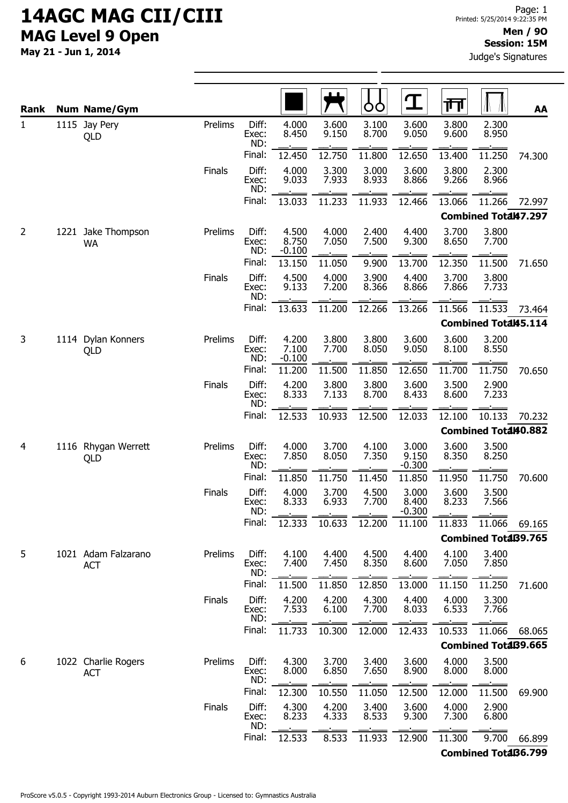## 14AGC MAG CII/CIII MAG Level 9 Open

May 21 - Jun 1, 2014

| Rank           | <b>Num Name/Gym</b>               |               |                       |                            |                | ÒÒ             | Ţ                          | गंग            |                             | AA     |
|----------------|-----------------------------------|---------------|-----------------------|----------------------------|----------------|----------------|----------------------------|----------------|-----------------------------|--------|
| 1              | 1115 Jay Pery<br>QLD              | Prelims       | Diff:<br>Exec:<br>ND: | 4.000<br>8.450             | 3.600<br>9.150 | 3.100<br>8.700 | 3.600<br>9.050             | 3.800<br>9.600 | 2.300<br>8.950              |        |
|                |                                   |               | Final:                | 12.450                     | 12.750         | 11.800         | 12.650                     | 13.400         | 11.250                      | 74.300 |
|                |                                   | Finals        | Diff:<br>Exec:<br>ND: | 4.000<br>9.033             | 3.300<br>7.933 | 3.000<br>8.933 | 3.600<br>8.866             | 3.800<br>9.266 | 2.300<br>8.966              |        |
|                |                                   |               | Final:                | 13.033                     | 11.233         | 11.933         | 12.466                     | 13.066         | 11.266                      | 72.997 |
|                |                                   |               |                       |                            |                |                |                            |                | Combined Total47.297        |        |
| $\overline{2}$ | 1221 Jake Thompson<br><b>WA</b>   | Prelims       | Diff:<br>Exec:<br>ND: | 4.500<br>8.750<br>$-0.100$ | 4.000<br>7.050 | 2.400<br>7.500 | 4.400<br>9.300             | 3.700<br>8.650 | 3.800<br>7.700              |        |
|                |                                   |               | Final:                | 13.150                     | 11.050         | 9.900          | 13.700                     | 12.350         | 11.500                      | 71.650 |
|                |                                   | Finals        | Diff:<br>Exec:<br>ND: | 4.500<br>9.133             | 4.000<br>7.200 | 3.900<br>8.366 | 4.400<br>8.866             | 3.700<br>7.866 | 3.800<br>7.733              |        |
|                |                                   |               | Final:                | 13.633                     | 11.200         | 12.266         | 13.266                     | 11.566         | 11.533                      | 73.464 |
|                |                                   |               |                       |                            |                |                |                            |                | <b>Combined Total45.114</b> |        |
| 3              | 1114 Dylan Konners<br>QLD         | Prelims       | Diff:<br>Exec:<br>ND: | 4.200<br>7.100<br>$-0.100$ | 3.800<br>7.700 | 3.800<br>8.050 | 3.600<br>9.050             | 3.600<br>8.100 | 3.200<br>8.550              |        |
|                |                                   |               | Final:                | 11.200                     | 11.500         | 11.850         | 12.650                     | 11.700         | 11.750                      | 70.650 |
|                |                                   | Finals        | Diff:<br>Exec:<br>ND: | 4.200<br>8.333             | 3.800<br>7.133 | 3.800<br>8.700 | 3.600<br>8.433             | 3.500<br>8.600 | 2.900<br>7.233              |        |
|                |                                   |               | Final:                | 12.533                     | 10.933         | 12.500         | 12.033                     | 12.100         | 10.133                      | 70.232 |
|                |                                   |               |                       |                            |                |                |                            |                | Combined Total40.882        |        |
| 4              | 1116 Rhygan Werrett<br>QLD        | Prelims       | Diff:<br>Exec:<br>ND: | 4.000<br>7.850             | 3.700<br>8.050 | 4.100<br>7.350 | 3.000<br>9.150<br>$-0.300$ | 3.600<br>8.350 | 3.500<br>8.250              |        |
|                |                                   |               | Final:                | 11.850                     | 11.750         | 11.450         | 11.850                     | 11.950         | 11.750                      | 70.600 |
|                |                                   | <b>Finals</b> | Diff:<br>Exec:<br>ND: | 4.000<br>8.333             | 3.700<br>6.933 | 4.500<br>7.700 | 3.000<br>8.400<br>$-0.300$ | 3.600<br>8.233 | 3.500<br>7.566              |        |
|                |                                   |               | Final:                | 12.333                     | 10.633         | 12.200         | 11.100                     | 11.833         | 11.066                      | 69.165 |
|                |                                   |               |                       |                            |                |                |                            |                | <b>Combined TotaB9.765</b>  |        |
| 5              | 1021 Adam Falzarano<br><b>ACT</b> | Prelims       | Diff:<br>Exec:<br>ND: | 4.100<br>7.400             | 4.400<br>7.450 | 4.500<br>8.350 | 4.400<br>8.600             | 4.100<br>7.050 | 3.400<br>7.850              |        |
|                |                                   |               | Final:                | 11.500                     | 11.850         | 12.850         | 13.000                     | 11.150         | 11.250                      | 71.600 |
|                |                                   | Finals        | Diff:<br>Exec:<br>ND: | 4.200<br>7.533             | 4.200<br>6.100 | 4.300<br>7.700 | 4.400<br>8.033             | 4.000<br>6.533 | 3.300<br>7.766              |        |
|                |                                   |               | Final:                | 11.733                     | 10.300         | 12.000         | 12.433                     | 10.533         | 11.066                      | 68.065 |
|                |                                   |               |                       |                            |                |                |                            |                | <b>Combined TotaB9.665</b>  |        |
| 6              | 1022 Charlie Rogers<br><b>ACT</b> | Prelims       | Diff:<br>Exec:<br>ND: | 4.300<br>8.000             | 3.700<br>6.850 | 3.400<br>7.650 | 3.600<br>8.900             | 4.000<br>8.000 | 3.500<br>8.000              |        |
|                |                                   |               | Final:                | 12.300                     | 10.550         | 11.050         | 12.500                     | 12.000         | 11.500                      | 69.900 |
|                |                                   | <b>Finals</b> | Diff:<br>Exec:<br>ND: | 4.300<br>8.233             | 4.200<br>4.333 | 3.400<br>8.533 | 3.600<br>9.300             | 4.000<br>7.300 | 2.900<br>6.800              |        |
|                |                                   |               | Final:                | 12.533                     | 8.533          | 11.933         | 12.900                     | 11.300         | 9.700                       | 66.899 |

Combined Total36.799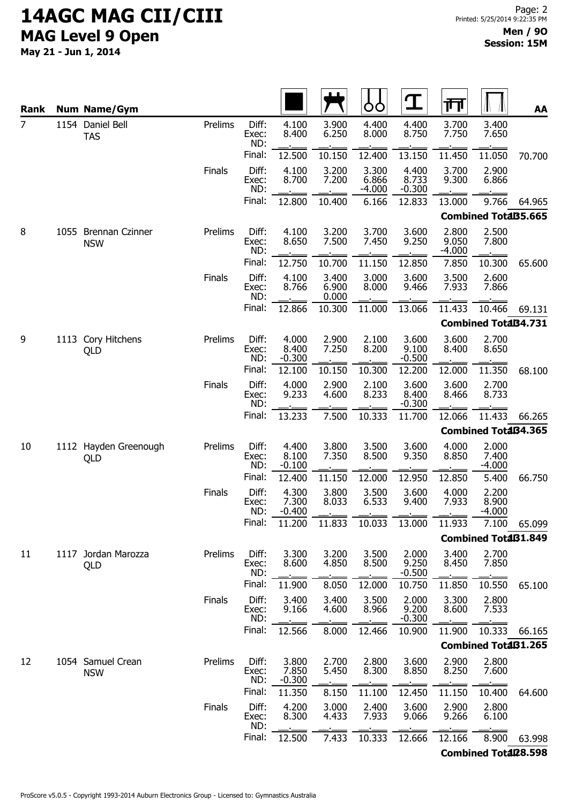## 14AGC MAG CII/CIII MAG Level 9 Open

May 21 - Jun 1, 2014

| Rank           | <b>Num Name/Gym</b>                |               |                       |                            |                         | OO                         | $\mathbf T$                | 帀                          |                             | AA     |
|----------------|------------------------------------|---------------|-----------------------|----------------------------|-------------------------|----------------------------|----------------------------|----------------------------|-----------------------------|--------|
| $\overline{7}$ | 1154 Daniel Bell<br><b>TAS</b>     | Prelims       | Diff:<br>Exec:<br>ND: | 4.100<br>8.400             | 3.900<br>6.250          | 4.400<br>8.000             | 4.400<br>8.750             | 3.700<br>7.750             | 3.400<br>7.650              |        |
|                |                                    |               | Final:                | 12.500                     | 10.150                  | 12.400                     | 13.150                     | 11.450                     | 11.050                      | 70.700 |
|                |                                    | <b>Finals</b> | Diff:<br>Exec:<br>ND: | 4.100<br>8.700             | 3.200<br>7.200          | 3.300<br>6.866<br>$-4.000$ | 4.400<br>8.733<br>$-0.300$ | 3.700<br>9.300             | 2.900<br>6.866              |        |
|                |                                    |               | Final:                | 12.800                     | 10.400                  | 6.166                      | 12.833                     | 13.000                     | 9.766                       | 64.965 |
|                |                                    |               |                       |                            |                         |                            |                            |                            | <b>Combined TotaB5.665</b>  |        |
| 8              | 1055 Brennan Czinner<br><b>NSW</b> | Prelims       | Diff:<br>Exec:<br>ND: | 4.100<br>8.650             | 3.200<br>7.500          | 3.700<br>7.450             | 3.600<br>9.250             | 2.800<br>9.050<br>$-4.000$ | 2.500<br>7.800              |        |
|                |                                    |               | Final:                | 12.750                     | 10.700                  | 11.150                     | 12.850                     | 7.850                      | 10.300                      | 65.600 |
|                |                                    | <b>Finals</b> | Diff:<br>Exec:<br>ND: | 4.100<br>8.766             | 3.400<br>6.900<br>0.000 | 3.000<br>8.000             | 3.600<br>9.466             | 3.500<br>7.933             | 2.600<br>7.866              |        |
|                |                                    |               | Final:                | 12.866                     | 10.300                  | 11.000                     | 13.066                     | 11.433                     | 10.466                      | 69.131 |
|                |                                    |               |                       |                            |                         |                            |                            |                            | <b>Combined TotaB4.731</b>  |        |
| 9              | 1113 Cory Hitchens<br>QLD          | Prelims       | Diff:<br>Exec:<br>ND: | 4.000<br>8.400<br>$-0.300$ | 2.900<br>7.250          | 2.100<br>8.200             | 3.600<br>9.100<br>$-0.500$ | 3.600<br>8.400             | 2.700<br>8.650              |        |
|                |                                    |               | Final:                | 12.100                     | 10.150                  | 10.300                     | 12.200                     | 12.000                     | 11.350                      | 68.100 |
|                |                                    | <b>Finals</b> | Diff:<br>Exec:<br>ND: | 4.000<br>9.233             | 2.900<br>4.600          | 2.100<br>8.233             | 3.600<br>8.400<br>$-0.300$ | 3.600<br>8.466             | 2.700<br>8.733              |        |
|                |                                    |               | Final:                | 13.233                     | 7.500                   | 10.333                     | 11.700                     | 12.066                     | 11.433                      | 66.265 |
|                |                                    |               |                       |                            |                         |                            |                            |                            | <b>Combined TotaB4.365</b>  |        |
| 10             | 1112 Hayden Greenough<br>QLD       | Prelims       | Diff:<br>Exec:<br>ND: | 4.400<br>8.100<br>$-0.100$ | 3.800<br>7.350          | 3.500<br>8.500             | 3.600<br>9.350             | 4.000<br>8.850             | 2.000<br>7.400<br>$-4.000$  |        |
|                |                                    |               | Final:                | 12.400                     | 11.150                  | 12.000                     | 12.950                     | 12.850                     | 5.400                       | 66.750 |
|                |                                    | <b>Finals</b> | Diff:<br>Exec:<br>ND: | 4.300<br>7.300<br>$-0.400$ | 3.800<br>8.033          | 3.500<br>6.533             | 3.600<br>9.400             | 4.000<br>7.933             | 2.200<br>8.900<br>$-4.000$  |        |
|                |                                    |               | Final:                | 11.200                     | 11.833                  | 10.033                     | 13.000                     | 11.933                     | 7.100                       | 65.099 |
|                |                                    |               |                       |                            |                         |                            |                            |                            | <b>Combined TotaB1.849</b>  |        |
| 11             | 1117 Jordan Marozza<br>QLD         | Prelims       | Diff:<br>Exec:<br>ND: | 3.300<br>8.600             | 3.200<br>4.850          | 3.500<br>8.500             | 2.000<br>9.250<br>$-0.500$ | 3.400<br>8.450             | 2.700<br>7.850              |        |
|                |                                    |               | Final:                | 11.900                     | 8.050                   | 12.000                     | 10.750                     | 11.850                     | 10.550                      | 65.100 |
|                |                                    | <b>Finals</b> | Diff:<br>Exec:<br>ND: | 3.400<br>9.166             | 3.400<br>4.600          | 3.500<br>8.966             | 2.000<br>9.200<br>$-0.300$ | 3.300<br>8.600             | 2.800<br>7.533              |        |
|                |                                    |               | Final:                | 12.566                     | 8.000                   | 12.466                     | 10.900                     | 11.900                     | 10.333                      | 66.165 |
|                |                                    |               |                       |                            |                         | <b>Combined TotaB1.265</b> |                            |                            |                             |        |
| 12             | 1054 Samuel Crean<br><b>NSW</b>    | Prelims       | Diff:<br>Exec:<br>ND: | 3.800<br>7.850<br>$-0.300$ | 2.700<br>5.450          | 2.800<br>8.300             | 3.600<br>8.850             | 2.900<br>8.250             | 2.800<br>7.600              |        |
|                |                                    |               | Final:                | 11.350                     | 8.150                   | 11.100                     | 12.450                     | 11.150                     | 10.400                      | 64.600 |
|                |                                    | <b>Finals</b> | Diff:<br>Exec:<br>ND: | 4.200<br>8.300             | 3.000<br>4.433          | 2.400<br>7.933             | 3.600<br>9.066             | 2.900<br>9.266             | 2.800<br>6.100              |        |
|                |                                    |               | Final:                | 12.500                     | 7.433                   | 10.333                     | 12.666                     | 12.166                     | 8.900                       | 63.998 |
|                |                                    |               |                       |                            |                         |                            |                            |                            | <b>Combined Total28.598</b> |        |